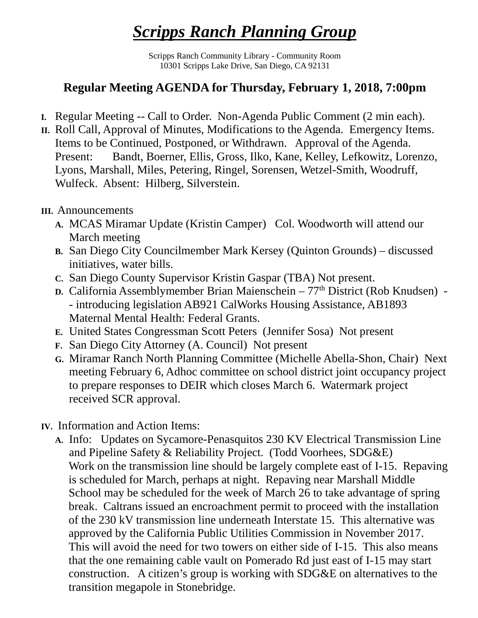## *Scripps Ranch Planning Group*

Scripps Ranch Community Library - Community Room 10301 Scripps Lake Drive, San Diego, CA 92131

## **Regular Meeting AGENDA for Thursday, February 1, 2018, 7:00pm**

- **I.** Regular Meeting -- Call to Order. Non-Agenda Public Comment (2 min each).
- **II.** Roll Call, Approval of Minutes, Modifications to the Agenda. Emergency Items. Items to be Continued, Postponed, or Withdrawn. Approval of the Agenda. Present: Bandt, Boerner, Ellis, Gross, Ilko, Kane, Kelley, Lefkowitz, Lorenzo, Lyons, Marshall, Miles, Petering, Ringel, Sorensen, Wetzel-Smith, Woodruff, Wulfeck. Absent: Hilberg, Silverstein.

## **III.** Announcements

- **A.** MCAS Miramar Update (Kristin Camper) Col. Woodworth will attend our March meeting
- **B.** San Diego City Councilmember Mark Kersey (Quinton Grounds) discussed initiatives, water bills.
- **C.** San Diego County Supervisor Kristin Gaspar (TBA) Not present.
- **D.** California Assemblymember Brian Maienschein 77<sup>th</sup> District (Rob Knudsen) -- introducing legislation AB921 CalWorks Housing Assistance, AB1893 Maternal Mental Health: Federal Grants.
- **E.** United States Congressman Scott Peters (Jennifer Sosa) Not present
- **F.** San Diego City Attorney (A. Council) Not present
- **G.** Miramar Ranch North Planning Committee (Michelle Abella-Shon, Chair) Next meeting February 6, Adhoc committee on school district joint occupancy project to prepare responses to DEIR which closes March 6. Watermark project received SCR approval.
- **IV.** Information and Action Items:
	- **A.** Info: Updates on Sycamore-Penasquitos 230 KV Electrical Transmission Line and Pipeline Safety & Reliability Project. (Todd Voorhees, SDG&E) Work on the transmission line should be largely complete east of I-15. Repaving is scheduled for March, perhaps at night. Repaving near Marshall Middle School may be scheduled for the week of March 26 to take advantage of spring break. Caltrans issued an encroachment permit to proceed with the installation of the 230 kV transmission line underneath Interstate 15. This alternative was approved by the California Public Utilities Commission in November 2017. This will avoid the need for two towers on either side of I-15. This also means that the one remaining cable vault on Pomerado Rd just east of I-15 may start construction. A citizen's group is working with SDG&E on alternatives to the transition megapole in Stonebridge.